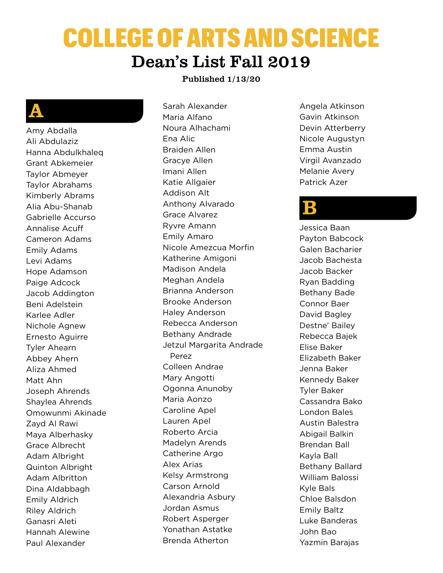# COLLEGE OF ARTS AND SCIENCE Dean's List Fall 2019

#### Published 1/13/20

#### A

Amy Abdalla Ali Abdulaziz Hanna Abdulkhaleq Grant Abkemeier Taylor Abmeyer Taylor Abrahams Kimberly Abrams Alia Abu-Shanab Gabrielle Accurso Annalise Acuff Cameron Adams Emily Adams Levi Adams Hope Adamson Paige Adcock Jacob Addington Beni Adelstein Karlee Adler Nichole Agnew Ernesto Aguirre Tyler Ahearn Abbey Ahern Aliza Ahmed Matt Ahn Joseph Ahrends Shaylea Ahrends Omowunmi Akinade Zayd Al Rawi Maya Alberhasky Grace Albrecht Adam Albright Quinton Albright Adam Albritton Dina Aldabbagh Emily Aldrich Riley Aldrich Ganasri Aleti Hannah Alewine Paul Alexander

Sarah Alexander Maria Alfano Noura Alhachami Ena Alic Braiden Allen Gracye Allen Imani Allen Katie Allgaier Addison Alt Anthony Alvarado Grace Alvarez Ryvre Amann Emily Amaro Nicole Amezcua Morfin Katherine Amigoni Madison Andela Meghan Andela Brianna Anderson Brooke Anderson Haley Anderson Rebecca Anderson Bethany Andrade Jetzul Margarita Andrade Perez Colleen Andrae Mary Angotti Ogonna Anunoby Maria Aonzo Caroline Apel Lauren Apel Roberto Arcia Madelyn Arends Catherine Argo Alex Arias Kelsy Armstrong Carson Arnold Alexandria Asbury Jordan Asmus Robert Asperger Yonathan Astatke Brenda Atherton

Angela Atkinson Gavin Atkinson Devin Atterberry Nicole Augustyn Emma Austin Virgil Avanzado Melanie Avery Patrick Azer

#### B

Jessica Baan Payton Babcock Galen Bacharier Jacob Bachesta Jacob Backer Ryan Badding Bethany Bade Connor Baer David Bagley Destne' Bailey Rebecca Bajek Elise Baker Elizabeth Baker Jenna Baker Kennedy Baker Tyler Baker Cassandra Bako London Bales Austin Balestra Abigail Balkin Brendan Ball Kayla Ball Bethany Ballard William Balossi Kyle Bals Chloe Balsdon Emily Baltz Luke Banderas John Bao Yazmin Barajas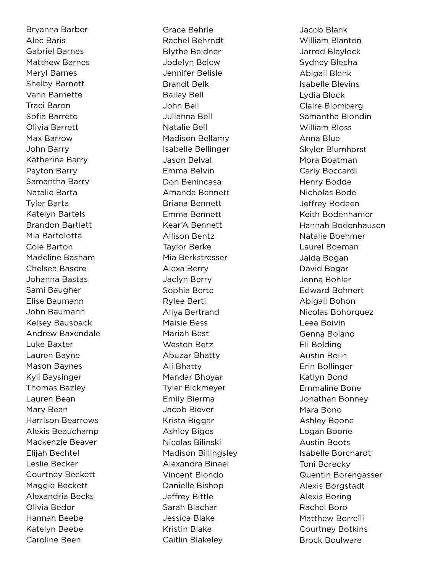Bryanna Barber Alec Baris Gabriel Barnes Matthew Barnes Meryl Barnes Shelby Barnett Vann Barnette Traci Baron Sofia Barreto Olivia Barrett Max Barrow John Barry Katherine Barry Payton Barry Samantha Barry Natalie Barta Tyler Barta Katelyn Bartels Brandon Bartlett Mia Bartolotta Cole Barton Madeline Basham Chelsea Basore Johanna Bastas Sami Baugher Elise Baumann John Baumann Kelsey Bausback Andrew Baxendale Luke Baxter Lauren Bayne Mason Baynes Kyli Baysinger Thomas Bazley Lauren Bean Mary Bean Harrison Bearrows Alexis Beauchamp Mackenzie Beaver Elijah Bechtel Leslie Becker Courtney Beckett Maggie Beckett Alexandria Becks Olivia Bedor Hannah Beebe Katelyn Beebe Caroline Been

Grace Behrle Rachel Behrndt Blythe Beldner Jodelyn Belew Jennifer Belisle Brandt Belk Bailey Bell John Bell Julianna Bell Natalie Bell Madison Bellamy Isabelle Bellinger Jason Belval Emma Belvin Don Benincasa Amanda Bennett Briana Bennett Emma Bennett Kear'A Bennett Allison Bentz Taylor Berke Mia Berkstresser Alexa Berry Jaclyn Berry Sophia Berte Rylee Berti Aliya Bertrand Maisie Bess Mariah Best Weston Betz Abuzar Bhatty Ali Bhatty Mandar Bhoyar Tyler Bickmeyer Emily Bierma Jacob Biever Krista Biggar Ashley Bigos Nicolas Bilinski Madison Billingsley Alexandra Binaei Vincent Biondo Danielle Bishop Jeffrey Bittle Sarah Blachar Jessica Blake Kristin Blake Caitlin Blakeley

Jacob Blank William Blanton Jarrod Blaylock Sydney Blecha Abigail Blenk Isabelle Blevins Lydia Block Claire Blomberg Samantha Blondin William Bloss Anna Blue Skyler Blumhorst Mora Boatman Carly Boccardi Henry Bodde Nicholas Bode Jeffrey Bodeen Keith Bodenhamer Hannah Bodenhausen Natalie Boehmer Laurel Boeman Jaida Bogan David Bogar Jenna Bohler Edward Bohnert Abigail Bohon Nicolas Bohorquez Leea Boivin Genna Boland Eli Bolding Austin Bolin Erin Bollinger Katlyn Bond Emmaline Bone Jonathan Bonney Mara Bono Ashley Boone Logan Boone Austin Boots Isabelle Borchardt Toni Borecky Quentin Borengasser Alexis Borgstadt Alexis Boring Rachel Boro Matthew Borrelli Courtney Botkins Brock Boulware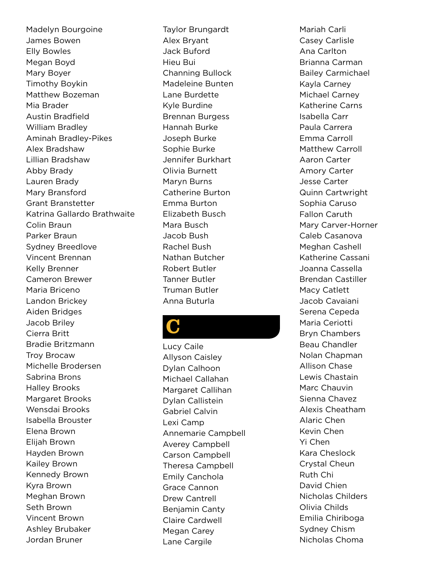Madelyn Bourgoine James Bowen Elly Bowles Megan Boyd Mary Boyer Timothy Boykin Matthew Bozeman Mia Brader Austin Bradfield William Bradley Aminah Bradley-Pikes Alex Bradshaw Lillian Bradshaw Abby Brady Lauren Brady Mary Bransford Grant Branstetter Katrina Gallardo Brathwaite Colin Braun Parker Braun Sydney Breedlove Vincent Brennan Kelly Brenner Cameron Brewer Maria Briceno Landon Brickey Aiden Bridges Jacob Briley Cierra Britt Bradie Britzmann Troy Brocaw Michelle Brodersen Sabrina Brons Halley Brooks Margaret Brooks Wensdai Brooks Isabella Brouster Elena Brown Elijah Brown Hayden Brown Kailey Brown Kennedy Brown Kyra Brown Meghan Brown Seth Brown Vincent Brown Ashley Brubaker Jordan Bruner

Taylor Brungardt Alex Bryant Jack Buford Hieu Bui Channing Bullock Madeleine Bunten Lane Burdette Kyle Burdine Brennan Burgess Hannah Burke Joseph Burke Sophie Burke Jennifer Burkhart Olivia Burnett Maryn Burns Catherine Burton Emma Burton Elizabeth Busch Mara Busch Jacob Bush Rachel Bush Nathan Butcher Robert Butler Tanner Butler Truman Butler Anna Buturla

## C

Lucy Caile Allyson Caisley Dylan Calhoon Michael Callahan Margaret Callihan Dylan Callistein Gabriel Calvin Lexi Camp Annemarie Campbell Averey Campbell Carson Campbell Theresa Campbell Emily Canchola Grace Cannon Drew Cantrell Benjamin Canty Claire Cardwell Megan Carey Lane Cargile

Mariah Carli Casey Carlisle Ana Carlton Brianna Carman Bailey Carmichael Kayla Carney Michael Carney Katherine Carns Isabella Carr Paula Carrera Emma Carroll Matthew Carroll Aaron Carter Amory Carter Jesse Carter Quinn Cartwright Sophia Caruso Fallon Caruth Mary Carver-Horner Caleb Casanova Meghan Cashell Katherine Cassani Joanna Cassella Brendan Castiller Macy Catlett Jacob Cavaiani Serena Cepeda Maria Ceriotti Bryn Chambers Beau Chandler Nolan Chapman Allison Chase Lewis Chastain Marc Chauvin Sienna Chavez Alexis Cheatham Alaric Chen Kevin Chen Yi Chen Kara Cheslock Crystal Cheun Ruth Chi David Chien Nicholas Childers Olivia Childs Emilia Chiriboga Sydney Chism Nicholas Choma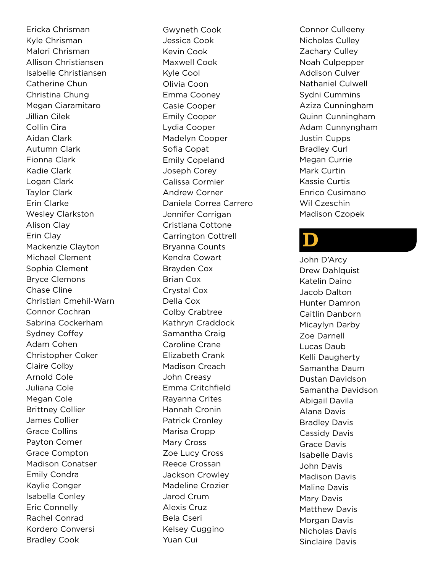Ericka Chrisman Kyle Chrisman Malori Chrisman Allison Christiansen Isabelle Christiansen Catherine Chun Christina Chung Megan Ciaramitaro Jillian Cilek Collin Cira Aidan Clark Autumn Clark Fionna Clark Kadie Clark Logan Clark Taylor Clark Erin Clarke Wesley Clarkston Alison Clay Erin Clay Mackenzie Clayton Michael Clement Sophia Clement Bryce Clemons Chase Cline Christian Cmehil-Warn Connor Cochran Sabrina Cockerham Sydney Coffey Adam Cohen Christopher Coker Claire Colby Arnold Cole Juliana Cole Megan Cole Brittney Collier James Collier Grace Collins Payton Comer Grace Compton Madison Conatser Emily Condra Kaylie Conger Isabella Conley Eric Connelly Rachel Conrad Kordero Conversi Bradley Cook

Gwyneth Cook Jessica Cook Kevin Cook Maxwell Cook Kyle Cool Olivia Coon Emma Cooney Casie Cooper Emily Cooper Lydia Cooper Madelyn Cooper Sofia Copat Emily Copeland Joseph Corey Calissa Cormier Andrew Corner Daniela Correa Carrero Jennifer Corrigan Cristiana Cottone Carrington Cottrell Bryanna Counts Kendra Cowart Brayden Cox Brian Cox Crystal Cox Della Cox Colby Crabtree Kathryn Craddock Samantha Craig Caroline Crane Elizabeth Crank Madison Creach John Creasy Emma Critchfield Rayanna Crites Hannah Cronin Patrick Cronley Marisa Cropp Mary Cross Zoe Lucy Cross Reece Crossan Jackson Crowley Madeline Crozier Jarod Crum Alexis Cruz Bela Cseri Kelsey Cuggino Yuan Cui

Connor Culleeny Nicholas Culley Zachary Culley Noah Culpepper Addison Culver Nathaniel Culwell Sydni Cummins Aziza Cunningham Quinn Cunningham Adam Cunnyngham Justin Cupps Bradley Curl Megan Currie Mark Curtin Kassie Curtis Enrico Cusimano Wil Czeschin Madison Czopek

#### $\mathbf D$

John D'Arcy Drew Dahlquist Katelin Daino Jacob Dalton Hunter Damron Caitlin Danborn Micaylyn Darby Zoe Darnell Lucas Daub Kelli Daugherty Samantha Daum Dustan Davidson Samantha Davidson Abigail Davila Alana Davis Bradley Davis Cassidy Davis Grace Davis Isabelle Davis John Davis Madison Davis Maline Davis Mary Davis Matthew Davis Morgan Davis Nicholas Davis Sinclaire Davis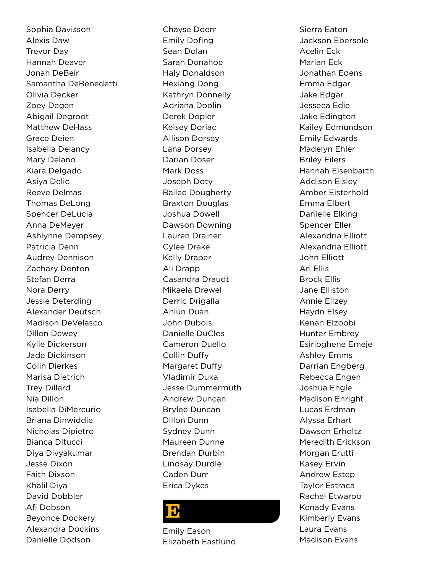Sophia Davisson Alexis Daw Trevor Day Hannah Deaver Jonah DeBeir Samantha DeBenedetti Olivia Decker Zoey Degen Abigail Degroot Matthew DeHass Grace Deien Isabella Delancy Mary Delano Kiara Delgado Asiya Delic Reeve Delmas Thomas DeLong Spencer DeLucia Anna DeMeyer Ashlynne Dempsey Patricia Denn Audrey Dennison Zachary Denton Stefan Derra Nora Derry Jessie Deterding Alexander Deutsch Madison DeVelasco Dillon Dewey Kylie Dickerson Jade Dickinson Colin Dierkes Marisa Dietrich Trey Dillard Nia Dillon Isabella DiMercurio Briana Dinwiddie Nicholas Dipietro Bianca Ditucci Diya Divyakumar Jesse Dixon Faith Dixson Khalil Diya David Dobbler Afi Dobson Beyonce Dockery Alexandra Dockins Danielle Dodson

Chayse Doerr Emily Dofing Sean Dolan Sarah Donahoe Haly Donaldson Hexiang Dong Kathryn Donnelly Adriana Doolin Derek Dopler Kelsey Dorlac Allison Dorsey Lana Dorsey Darian Doser Mark Doss Joseph Doty Bailee Dougherty Braxton Douglas Joshua Dowell Dawson Downing Lauren Drainer Cylee Drake Kelly Draper Ali Drapp Casandra Draudt Mikaela Drewel Derric Drigalla Anlun Duan John Dubois Danielle DuClos Cameron Duello Collin Duffy Margaret Duffy Vladimir Duka Jesse Dummermuth Andrew Duncan Brylee Duncan Dillon Dunn Sydney Dunn Maureen Dunne Brendan Durbin Lindsay Durdle Caden Durr Erica Dykes

#### $\bf{E}$

Emily Eason Elizabeth Eastlund

Sierra Eaton Jackson Ebersole Acelin Eck Marian Eck Jonathan Edens Emma Edgar Jake Edgar Jesseca Edie Jake Edington Kailey Edmundson Emily Edwards Madelyn Ehler Briley Eilers Hannah Eisenbarth Addison Eisley Amber Eisterhold Emma Elbert Danielle Elking Spencer Eller Alexandria Elliott Alexandria Elliott John Elliott Ari Ellis Brock Ellis Jane Elliston Annie Ellzey Haydn Elsey Kenan Elzoobi Hunter Embrey Esirioghene Emeje Ashley Emms Darrian Engberg Rebecca Engen Joshua Engle Madison Enright Lucas Erdman Alyssa Erhart Dawson Erholtz Meredith Erickson Morgan Erutti Kasey Ervin Andrew Estep Taylor Estraca Rachel Etwaroo Kenady Evans Kimberly Evans Laura Evans Madison Evans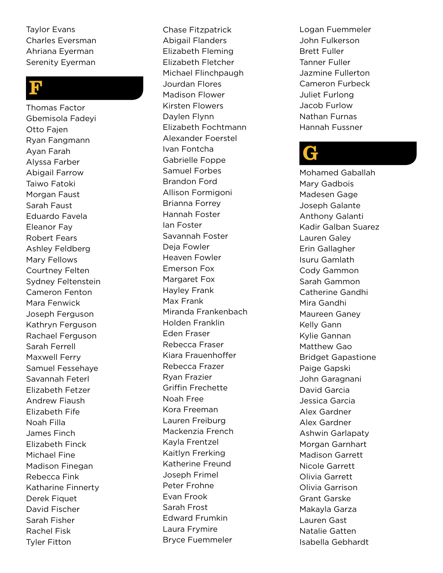Taylor Evans Charles Eversman Ahriana Eyerman Serenity Eyerman

#### <mark>ין</mark>

Thomas Factor Gbemisola Fadeyi Otto Fajen Ryan Fangmann Ayan Farah Alyssa Farber Abigail Farrow Taiwo Fatoki Morgan Faust Sarah Faust Eduardo Favela Eleanor Fay Robert Fears Ashley Feldberg Mary Fellows Courtney Felten Sydney Feltenstein Cameron Fenton Mara Fenwick Joseph Ferguson Kathryn Ferguson Rachael Ferguson Sarah Ferrell Maxwell Ferry Samuel Fessehaye Savannah Feterl Elizabeth Fetzer Andrew Fiaush Elizabeth Fife Noah Filla James Finch Elizabeth Finck Michael Fine Madison Finegan Rebecca Fink Katharine Finnerty Derek Fiquet David Fischer Sarah Fisher Rachel Fisk Tyler Fitton

Chase Fitzpatrick Abigail Flanders Elizabeth Fleming Elizabeth Fletcher Michael Flinchpaugh Jourdan Flores Madison Flower Kirsten Flowers Daylen Flynn Elizabeth Fochtmann Alexander Foerstel Ivan Fontcha Gabrielle Foppe Samuel Forbes Brandon Ford Allison Formigoni Brianna Forrey Hannah Foster Ian Foster Savannah Foster Deja Fowler Heaven Fowler Emerson Fox Margaret Fox Hayley Frank Max Frank Miranda Frankenbach Holden Franklin Eden Fraser Rebecca Fraser Kiara Frauenhoffer Rebecca Frazer Ryan Frazier Griffin Frechette Noah Free Kora Freeman Lauren Freiburg Mackenzia French Kayla Frentzel Kaitlyn Frerking Katherine Freund Joseph Frimel Peter Frohne Evan Frook Sarah Frost Edward Frumkin Laura Frymire Bryce Fuemmeler

Logan Fuemmeler John Fulkerson Brett Fuller Tanner Fuller Jazmine Fullerton Cameron Furbeck Juliet Furlong Jacob Furlow Nathan Furnas Hannah Fussner

### G

Mohamed Gaballah Mary Gadbois Madesen Gage Joseph Galante Anthony Galanti Kadir Galban Suarez Lauren Galey Erin Gallagher Isuru Gamlath Cody Gammon Sarah Gammon Catherine Gandhi Mira Gandhi Maureen Ganey Kelly Gann Kylie Gannan Matthew Gao Bridget Gapastione Paige Gapski John Garagnani David Garcia Jessica Garcia Alex Gardner Alex Gardner Ashwin Garlapaty Morgan Garnhart Madison Garrett Nicole Garrett Olivia Garrett Olivia Garrison Grant Garske Makayla Garza Lauren Gast Natalie Gatten Isabella Gebhardt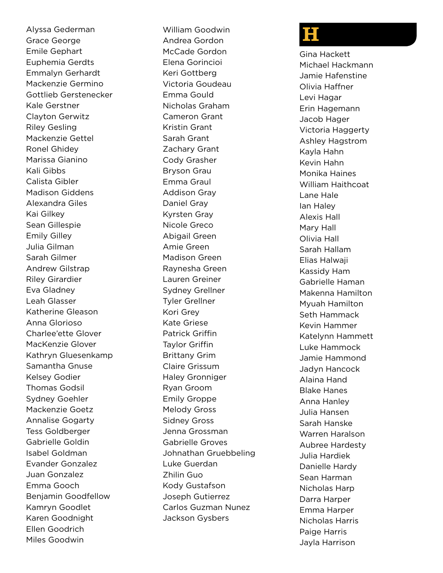Alyssa Gederman Grace George Emile Gephart Euphemia Gerdts Emmalyn Gerhardt Mackenzie Germino Gottlieb Gerstenecker Kale Gerstner Clayton Gerwitz Riley Gesling Mackenzie Gettel Ronel Ghidey Marissa Gianino Kali Gibbs Calista Gibler Madison Giddens Alexandra Giles Kai Gilkey Sean Gillespie Emily Gilley Julia Gilman Sarah Gilmer Andrew Gilstrap Riley Girardier Eva Gladney Leah Glasser Katherine Gleason Anna Glorioso Charlee'ette Glover MacKenzie Glover Kathryn Gluesenkamp Samantha Gnuse Kelsey Godier Thomas Godsil Sydney Goehler Mackenzie Goetz Annalise Gogarty Tess Goldberger Gabrielle Goldin Isabel Goldman Evander Gonzalez Juan Gonzalez Emma Gooch Benjamin Goodfellow Kamryn Goodlet Karen Goodnight Ellen Goodrich Miles Goodwin

William Goodwin Andrea Gordon McCade Gordon Elena Gorincioi Keri Gottberg Victoria Goudeau Emma Gould Nicholas Graham Cameron Grant Kristin Grant Sarah Grant Zachary Grant Cody Grasher Bryson Grau Emma Graul Addison Gray Daniel Gray Kyrsten Gray Nicole Greco Abigail Green Amie Green Madison Green Raynesha Green Lauren Greiner Sydney Grellner Tyler Grellner Kori Grey Kate Griese Patrick Griffin Taylor Griffin Brittany Grim Claire Grissum Haley Gronniger Ryan Groom Emily Groppe Melody Gross Sidney Gross Jenna Grossman Gabrielle Groves Johnathan Gruebbeling Luke Guerdan Zhilin Guo Kody Gustafson Joseph Gutierrez Carlos Guzman Nunez Jackson Gysbers

#### H

Gina Hackett Michael Hackmann Jamie Hafenstine Olivia Haffner Levi Hagar Erin Hagemann Jacob Hager Victoria Haggerty Ashley Hagstrom Kayla Hahn Kevin Hahn Monika Haines William Haithcoat Lane Hale Ian Haley Alexis Hall Mary Hall Olivia Hall Sarah Hallam Elias Halwaji Kassidy Ham Gabrielle Haman Makenna Hamilton Myuah Hamilton Seth Hammack Kevin Hammer Katelynn Hammett Luke Hammock Jamie Hammond Jadyn Hancock Alaina Hand Blake Hanes Anna Hanley Julia Hansen Sarah Hanske Warren Haralson Aubree Hardesty Julia Hardiek Danielle Hardy Sean Harman Nicholas Harp Darra Harper Emma Harper Nicholas Harris Paige Harris Jayla Harrison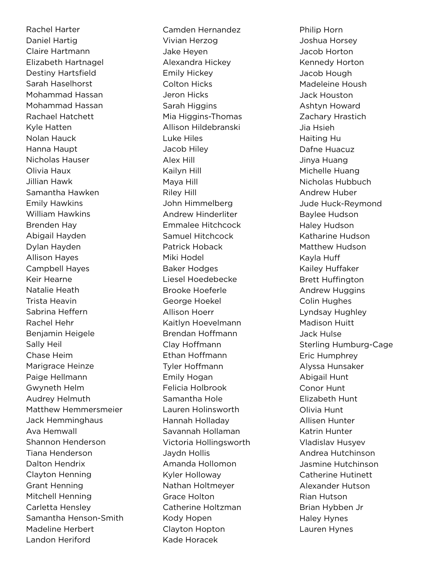Rachel Harter Daniel Hartig Claire Hartmann Elizabeth Hartnagel Destiny Hartsfield Sarah Haselhorst Mohammad Hassan Mohammad Hassan Rachael Hatchett Kyle Hatten Nolan Hauck Hanna Haupt Nicholas Hauser Olivia Haux Jillian Hawk Samantha Hawken Emily Hawkins William Hawkins Brenden Hay Abigail Hayden Dylan Hayden Allison Hayes Campbell Hayes Keir Hearne Natalie Heath Trista Heavin Sabrina Heffern Rachel Hehr Benjamin Heigele Sally Heil Chase Heim Marigrace Heinze Paige Hellmann Gwyneth Helm Audrey Helmuth Matthew Hemmersmeier Jack Hemminghaus Ava Hemwall Shannon Henderson Tiana Henderson Dalton Hendrix Clayton Henning Grant Henning Mitchell Henning Carletta Hensley Samantha Henson-Smith Madeline Herbert Landon Heriford

Camden Hernandez Vivian Herzog Jake Heyen Alexandra Hickey Emily Hickey Colton Hicks Jeron Hicks Sarah Higgins Mia Higgins-Thomas Allison Hildebranski Luke Hiles Jacob Hiley Alex Hill Kailyn Hill Maya Hill Riley Hill John Himmelberg Andrew Hinderliter Emmalee Hitchcock Samuel Hitchcock Patrick Hoback Miki Hodel Baker Hodges Liesel Hoedebecke Brooke Hoeferle George Hoekel Allison Hoerr Kaitlyn Hoevelmann Brendan Hoffmann Clay Hoffmann Ethan Hoffmann Tyler Hoffmann Emily Hogan Felicia Holbrook Samantha Hole Lauren Holinsworth Hannah Holladay Savannah Hollaman Victoria Hollingsworth Jaydn Hollis Amanda Hollomon Kyler Holloway Nathan Holtmeyer Grace Holton Catherine Holtzman Kody Hopen Clayton Hopton Kade Horacek

Philip Horn Joshua Horsey Jacob Horton Kennedy Horton Jacob Hough Madeleine Housh Jack Houston Ashtyn Howard Zachary Hrastich Jia Hsieh Haiting Hu Dafne Huacuz Jinya Huang Michelle Huang Nicholas Hubbuch Andrew Huber Jude Huck-Reymond Baylee Hudson Haley Hudson Katharine Hudson Matthew Hudson Kayla Huff Kailey Huffaker Brett Huffington Andrew Huggins Colin Hughes Lyndsay Hughley Madison Huitt Jack Hulse Sterling Humburg-Cage Eric Humphrey Alyssa Hunsaker Abigail Hunt Conor Hunt Elizabeth Hunt Olivia Hunt Allisen Hunter Katrin Hunter Vladislav Husyev Andrea Hutchinson Jasmine Hutchinson Catherine Hutinett Alexander Hutson Rian Hutson Brian Hybben Jr Haley Hynes Lauren Hynes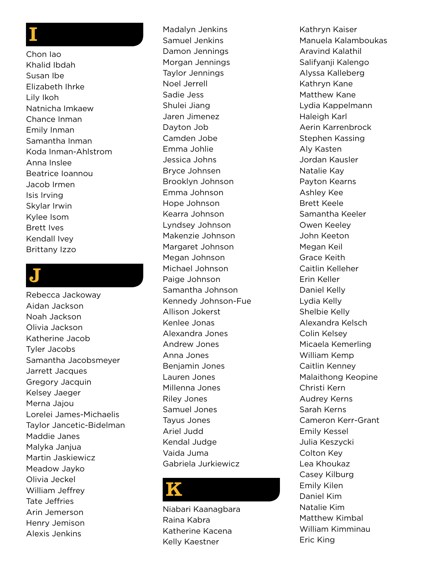#### I

Chon Iao Khalid Ibdah Susan Ibe Elizabeth Ihrke Lily Ikoh Natnicha Imkaew Chance Inman Emily Inman Samantha Inman Koda Inman-Ahlstrom Anna Inslee Beatrice Ioannou Jacob Irmen Isis Irving Skylar Irwin Kylee Isom Brett Ives Kendall Ivey Brittany Izzo

#### J

Rebecca Jackoway Aidan Jackson Noah Jackson Olivia Jackson Katherine Jacob Tyler Jacobs Samantha Jacobsmeyer Jarrett Jacques Gregory Jacquin Kelsey Jaeger Merna Jajou Lorelei James-Michaelis Taylor Jancetic-Bidelman Maddie Janes Malyka Janjua Martin Jaskiewicz Meadow Jayko Olivia Jeckel William Jeffrey Tate Jeffries Arin Jemerson Henry Jemison Alexis Jenkins

Madalyn Jenkins Samuel Jenkins Damon Jennings Morgan Jennings Taylor Jennings Noel Jerrell Sadie Jess Shulei Jiang Jaren Jimenez Dayton Job Camden Jobe Emma Johlie Jessica Johns Bryce Johnsen Brooklyn Johnson Emma Johnson Hope Johnson Kearra Johnson Lyndsey Johnson Makenzie Johnson Margaret Johnson Megan Johnson Michael Johnson Paige Johnson Samantha Johnson Kennedy Johnson-Fue Allison Jokerst Kenlee Jonas Alexandra Jones Andrew Jones Anna Jones Benjamin Jones Lauren Jones Millenna Jones Riley Jones Samuel Jones Tayus Jones Ariel Judd Kendal Judge Vaida Juma Gabriela Jurkiewicz

#### K

Niabari Kaanagbara Raina Kabra Katherine Kacena Kelly Kaestner

Kathryn Kaiser Manuela Kalamboukas Aravind Kalathil Salifyanji Kalengo Alyssa Kalleberg Kathryn Kane Matthew Kane Lydia Kappelmann Haleigh Karl Aerin Karrenbrock Stephen Kassing Aly Kasten Jordan Kausler Natalie Kay Payton Kearns Ashley Kee Brett Keele Samantha Keeler Owen Keeley John Keeton Megan Keil Grace Keith Caitlin Kelleher Erin Keller Daniel Kelly Lydia Kelly Shelbie Kelly Alexandra Kelsch Colin Kelsey Micaela Kemerling William Kemp Caitlin Kenney Malaithong Keopine Christi Kern Audrey Kerns Sarah Kerns Cameron Kerr-Grant Emily Kessel Julia Keszycki Colton Key Lea Khoukaz Casey Kilburg Emily Kilen Daniel Kim Natalie Kim Matthew Kimbal William Kimminau Eric King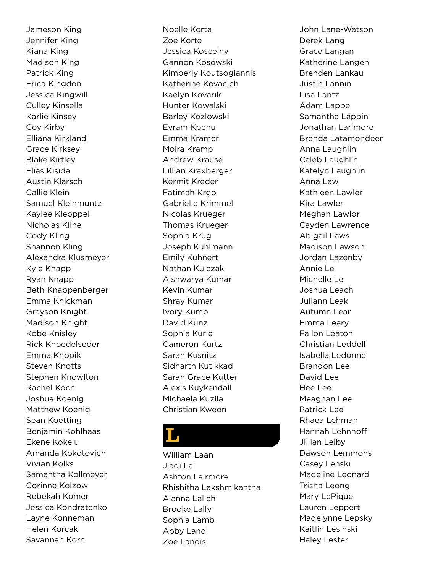Jameson King Jennifer King Kiana King Madison King Patrick King Erica Kingdon Jessica Kingwill Culley Kinsella Karlie Kinsey Coy Kirby Elliana Kirkland Grace Kirksey Blake Kirtley Elias Kisida Austin Klarsch Callie Klein Samuel Kleinmuntz Kaylee Kleoppel Nicholas Kline Cody Kling Shannon Kling Alexandra Klusmeyer Kyle Knapp Ryan Knapp Beth Knappenberger Emma Knickman Grayson Knight Madison Knight Kobe Knisley Rick Knoedelseder Emma Knopik Steven Knotts Stephen Knowlton Rachel Koch Joshua Koenig Matthew Koenig Sean Koetting Benjamin Kohlhaas Ekene Kokelu Amanda Kokotovich Vivian Kolks Samantha Kollmeyer Corinne Kolzow Rebekah Komer Jessica Kondratenko Layne Konneman Helen Korcak Savannah Korn

Noelle Korta Zoe Korte Jessica Koscelny Gannon Kosowski Kimberly Koutsogiannis Katherine Kovacich Kaelyn Kovarik Hunter Kowalski Barley Kozlowski Eyram Kpenu Emma Kramer Moira Kramp Andrew Krause Lillian Kraxberger Kermit Kreder Fatimah Krgo Gabrielle Krimmel Nicolas Krueger Thomas Krueger Sophia Krug Joseph Kuhlmann Emily Kuhnert Nathan Kulczak Aishwarya Kumar Kevin Kumar Shray Kumar Ivory Kump David Kunz Sophia Kurle Cameron Kurtz Sarah Kusnitz Sidharth Kutikkad Sarah Grace Kutter Alexis Kuykendall Michaela Kuzila Christian Kweon

#### L

William Laan Jiaqi Lai Ashton Lairmore Rhishitha Lakshmikantha Alanna Lalich Brooke Lally Sophia Lamb Abby Land Zoe Landis

John Lane-Watson Derek Lang Grace Langan Katherine Langen Brenden Lankau Justin Lannin Lisa Lantz Adam Lappe Samantha Lappin Jonathan Larimore Brenda Latamondeer Anna Laughlin Caleb Laughlin Katelyn Laughlin Anna Law Kathleen Lawler Kira Lawler Meghan Lawlor Cayden Lawrence Abigail Laws Madison Lawson Jordan Lazenby Annie Le Michelle Le Joshua Leach Juliann Leak Autumn Lear Emma Leary Fallon Leaton Christian Leddell Isabella Ledonne Brandon Lee David Lee Hee Lee Meaghan Lee Patrick Lee Rhaea Lehman Hannah Lehnhoff Jillian Leiby Dawson Lemmons Casey Lenski Madeline Leonard Trisha Leong Mary LePique Lauren Leppert Madelynne Lepsky Kaitlin Lesinski Haley Lester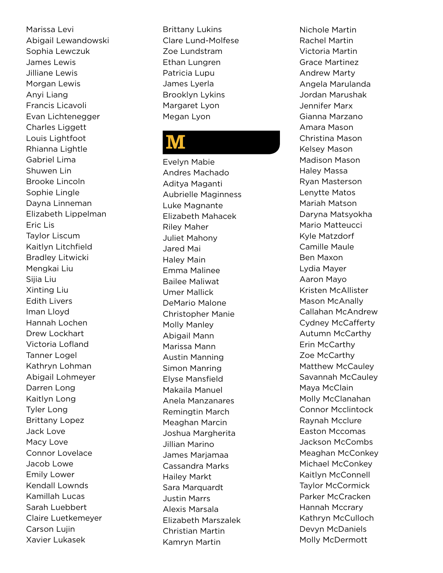Marissa Levi Abigail Lewandowski Sophia Lewczuk James Lewis Jilliane Lewis Morgan Lewis Anyi Liang Francis Licavoli Evan Lichtenegger Charles Liggett Louis Lightfoot Rhianna Lightle Gabriel Lima Shuwen Lin Brooke Lincoln Sophie Lingle Dayna Linneman Elizabeth Lippelman Eric Lis Taylor Liscum Kaitlyn Litchfield Bradley Litwicki Mengkai Liu Sijia Liu Xinting Liu Edith Livers Iman Lloyd Hannah Lochen Drew Lockhart Victoria Lofland Tanner Logel Kathryn Lohman Abigail Lohmeyer Darren Long Kaitlyn Long Tyler Long Brittany Lopez Jack Love Macy Love Connor Lovelace Jacob Lowe Emily Lower Kendall Lownds Kamillah Lucas Sarah Luebbert Claire Luetkemeyer Carson Lujin Xavier Lukasek

Brittany Lukins Clare Lund-Molfese Zoe Lundstram Ethan Lungren Patricia Lupu James Lyerla Brooklyn Lykins Margaret Lyon Megan Lyon

#### **M**

Evelyn Mabie Andres Machado Aditya Maganti Aubrielle Maginness Luke Magnante Elizabeth Mahacek Riley Maher Juliet Mahony Jared Mai Haley Main Emma Malinee Bailee Maliwat Umer Mallick DeMario Malone Christopher Manie Molly Manley Abigail Mann Marissa Mann Austin Manning Simon Manring Elyse Mansfield Makaila Manuel Anela Manzanares Remingtin March Meaghan Marcin Joshua Margherita Jillian Marino James Marjamaa Cassandra Marks Hailey Markt Sara Marquardt Justin Marrs Alexis Marsala Elizabeth Marszalek Christian Martin Kamryn Martin

Nichole Martin Rachel Martin Victoria Martin Grace Martinez Andrew Marty Angela Marulanda Jordan Marushak Jennifer Marx Gianna Marzano Amara Mason Christina Mason Kelsey Mason Madison Mason Haley Massa Ryan Masterson Lenytte Matos Mariah Matson Daryna Matsyokha Mario Matteucci Kyle Matzdorf Camille Maule Ben Maxon Lydia Mayer Aaron Mayo Kristen McAllister Mason McAnally Callahan McAndrew Cydney McCafferty Autumn McCarthy Erin McCarthy Zoe McCarthy Matthew McCauley Savannah McCauley Maya McClain Molly McClanahan Connor Mcclintock Raynah Mcclure Easton Mccomas Jackson McCombs Meaghan McConkey Michael McConkey Kaitlyn McConnell Taylor McCormick Parker McCracken Hannah Mccrary Kathryn McCulloch Devyn McDaniels Molly McDermott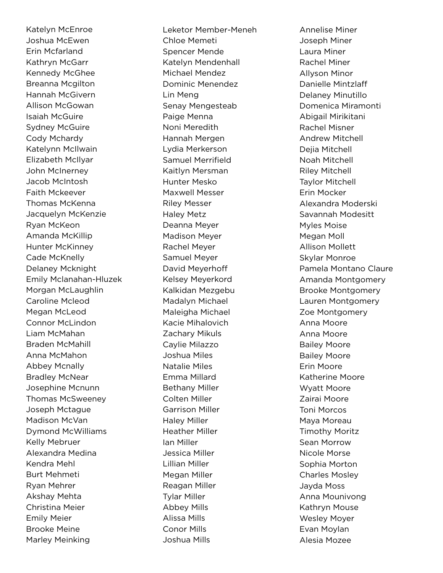Katelyn McEnroe Joshua McEwen Erin Mcfarland Kathryn McGarr Kennedy McGhee Breanna Mcgilton Hannah McGivern Allison McGowan Isaiah McGuire Sydney McGuire Cody Mchardy Katelynn McIlwain Elizabeth McIlyar John McInerney Jacob McIntosh Faith Mckeever Thomas McKenna Jacquelyn McKenzie Ryan McKeon Amanda McKillip Hunter McKinney Cade McKnelly Delaney Mcknight Emily Mclanahan-Hluzek Morgan McLaughlin Caroline Mcleod Megan McLeod Connor McLindon Liam McMahan Braden McMahill Anna McMahon Abbey Mcnally Bradley McNear Josephine Mcnunn Thomas McSweeney Joseph Mctague Madison McVan Dymond McWilliams Kelly Mebruer Alexandra Medina Kendra Mehl Burt Mehmeti Ryan Mehrer Akshay Mehta Christina Meier Emily Meier Brooke Meine Marley Meinking

Leketor Member-Meneh Chloe Memeti Spencer Mende Katelyn Mendenhall Michael Mendez Dominic Menendez Lin Meng Senay Mengesteab Paige Menna Noni Meredith Hannah Mergen Lydia Merkerson Samuel Merrifield Kaitlyn Mersman Hunter Mesko Maxwell Messer Riley Messer Haley Metz Deanna Meyer Madison Meyer Rachel Meyer Samuel Meyer David Meyerhoff Kelsey Meyerkord Kalkidan Mezgebu Madalyn Michael Maleigha Michael Kacie Mihalovich Zachary Mikuls Caylie Milazzo Joshua Miles Natalie Miles Emma Millard Bethany Miller Colten Miller Garrison Miller Haley Miller Heather Miller Ian Miller Jessica Miller Lillian Miller Megan Miller Reagan Miller Tylar Miller Abbey Mills Alissa Mills Conor Mills Joshua Mills

Annelise Miner Joseph Miner Laura Miner Rachel Miner Allyson Minor Danielle Mintzlaff Delaney Minutillo Domenica Miramonti Abigail Mirikitani Rachel Misner Andrew Mitchell Dejia Mitchell Noah Mitchell Riley Mitchell Taylor Mitchell Erin Mocker Alexandra Moderski Savannah Modesitt Myles Moise Megan Moll Allison Mollett Skylar Monroe Pamela Montano Claure Amanda Montgomery Brooke Montgomery Lauren Montgomery Zoe Montgomery Anna Moore Anna Moore Bailey Moore Bailey Moore Erin Moore Katherine Moore Wyatt Moore Zairai Moore Toni Morcos Maya Moreau Timothy Moritz Sean Morrow Nicole Morse Sophia Morton Charles Mosley Jayda Moss Anna Mounivong Kathryn Mouse Wesley Moyer Evan Moylan Alesia Mozee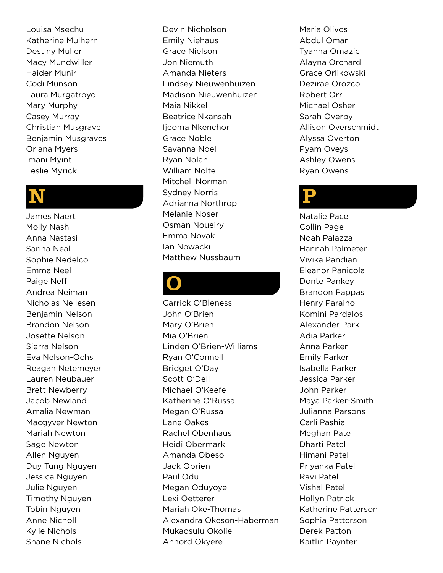Louisa Msechu Katherine Mulhern Destiny Muller Macy Mundwiller Haider Munir Codi Munson Laura Murgatroyd Mary Murphy Casey Murray Christian Musgrave Benjamin Musgraves Oriana Myers Imani Myint Leslie Myrick

#### N

James Naert Molly Nash Anna Nastasi Sarina Neal Sophie Nedelco Emma Neel Paige Neff Andrea Neiman Nicholas Nellesen Benjamin Nelson Brandon Nelson Josette Nelson Sierra Nelson Eva Nelson-Ochs Reagan Netemeyer Lauren Neubauer Brett Newberry Jacob Newland Amalia Newman Macgyver Newton Mariah Newton Sage Newton Allen Nguyen Duy Tung Nguyen Jessica Nguyen Julie Nguyen Timothy Nguyen Tobin Nguyen Anne Nicholl Kylie Nichols Shane Nichols

Devin Nicholson Emily Niehaus Grace Nielson Jon Niemuth Amanda Nieters Lindsey Nieuwenhuizen Madison Nieuwenhuizen Maia Nikkel Beatrice Nkansah lieoma Nkenchor Grace Noble Savanna Noel Ryan Nolan William Nolte Mitchell Norman Sydney Norris Adrianna Northrop Melanie Noser Osman Noueiry Emma Novak Ian Nowacki Matthew Nussbaum

#### O

Carrick O'Bleness John O'Brien Mary O'Brien Mia O'Brien Linden O'Brien-Williams Ryan O'Connell Bridget O'Day Scott O'Dell Michael O'Keefe Katherine O'Russa Megan O'Russa Lane Oakes Rachel Obenhaus Heidi Obermark Amanda Obeso Jack Obrien Paul Odu Megan Oduyoye Lexi Oetterer Mariah Oke-Thomas Alexandra Okeson-Haberman Mukaosulu Okolie Annord Okyere

Maria Olivos Abdul Omar Tyanna Omazic Alayna Orchard Grace Orlikowski Dezirae Orozco Robert Orr Michael Osher Sarah Overby Allison Overschmidt Alyssa Overton Pyam Oveys Ashley Owens Ryan Owens

#### P

Natalie Pace Collin Page Noah Palazza Hannah Palmeter Vivika Pandian Eleanor Panicola Donte Pankey Brandon Pappas Henry Paraino Komini Pardalos Alexander Park Adia Parker Anna Parker Emily Parker Isabella Parker Jessica Parker John Parker Maya Parker-Smith Julianna Parsons Carli Pashia Meghan Pate Dharti Patel Himani Patel Priyanka Patel Ravi Patel Vishal Patel Hollyn Patrick Katherine Patterson Sophia Patterson Derek Patton Kaitlin Paynter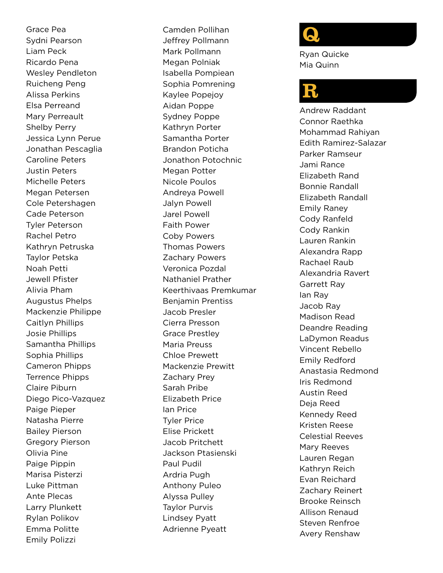Grace Pea Sydni Pearson Liam Peck Ricardo Pena Wesley Pendleton Ruicheng Peng Alissa Perkins Elsa Perreand Mary Perreault Shelby Perry Jessica Lynn Perue Jonathan Pescaglia Caroline Peters Justin Peters Michelle Peters Megan Petersen Cole Petershagen Cade Peterson Tyler Peterson Rachel Petro Kathryn Petruska Taylor Petska Noah Petti Jewell Pfister Alivia Pham Augustus Phelps Mackenzie Philippe Caitlyn Phillips Josie Phillips Samantha Phillips Sophia Phillips Cameron Phipps Terrence Phipps Claire Piburn Diego Pico-Vazquez Paige Pieper Natasha Pierre Bailey Pierson Gregory Pierson Olivia Pine Paige Pippin Marisa Pisterzi Luke Pittman Ante Plecas Larry Plunkett Rylan Polikov Emma Politte Emily Polizzi

Camden Pollihan Jeffrey Pollmann Mark Pollmann Megan Polniak Isabella Pompiean Sophia Pomrening Kaylee Popejoy Aidan Poppe Sydney Poppe Kathryn Porter Samantha Porter Brandon Poticha Jonathon Potochnic Megan Potter Nicole Poulos Andreya Powell Jalyn Powell Jarel Powell Faith Power Coby Powers Thomas Powers Zachary Powers Veronica Pozdal Nathaniel Prather Keerthivaas Premkumar Benjamin Prentiss Jacob Presler Cierra Presson Grace Prestley Maria Preuss Chloe Prewett Mackenzie Prewitt Zachary Prey Sarah Pribe Elizabeth Price Ian Price Tyler Price Elise Prickett Jacob Pritchett Jackson Ptasienski Paul Pudil Ardria Pugh Anthony Puleo Alyssa Pulley Taylor Purvis Lindsey Pyatt Adrienne Pyeatt

## Q

Ryan Quicke Mia Quinn

#### R

Andrew Raddant Connor Raethka Mohammad Rahiyan Edith Ramirez-Salazar Parker Ramseur Jami Rance Elizabeth Rand Bonnie Randall Elizabeth Randall Emily Raney Cody Ranfeld Cody Rankin Lauren Rankin Alexandra Rapp Rachael Raub Alexandria Ravert Garrett Ray Ian Ray Jacob Ray Madison Read Deandre Reading LaDymon Readus Vincent Rebello Emily Redford Anastasia Redmond Iris Redmond Austin Reed Deja Reed Kennedy Reed Kristen Reese Celestial Reeves Mary Reeves Lauren Regan Kathryn Reich Evan Reichard Zachary Reinert Brooke Reinsch Allison Renaud Steven Renfroe Avery Renshaw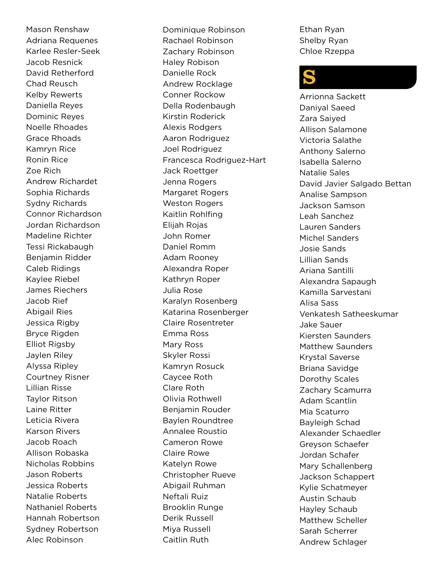Mason Renshaw Adriana Requenes Karlee Resler-Seek Jacob Resnick David Retherford Chad Reusch Kelby Rewerts Daniella Reyes Dominic Reyes Noelle Rhoades Grace Rhoads Kamryn Rice Ronin Rice Zoe Rich Andrew Richardet Sophia Richards Sydny Richards Connor Richardson Jordan Richardson Madeline Richter Tessi Rickabaugh Benjamin Ridder Caleb Ridings Kaylee Riebel James Riechers Jacob Rief Abigail Ries Jessica Rigby Bryce Rigden Elliot Rigsby Jaylen Riley Alyssa Ripley Courtney Risner Lillian Risse Taylor Ritson Laine Ritter Leticia Rivera Karson Rivers Jacob Roach Allison Robaska Nicholas Robbins Jason Roberts Jessica Roberts Natalie Roberts Nathaniel Roberts Hannah Robertson Sydney Robertson Alec Robinson

Dominique Robinson Rachael Robinson Zachary Robinson Haley Robison Danielle Rock Andrew Rocklage Conner Rockow Della Rodenbaugh Kirstin Roderick Alexis Rodgers Aaron Rodriguez Joel Rodriguez Francesca Rodriguez-Hart Jack Roettger Jenna Rogers Margaret Rogers Weston Rogers Kaitlin Rohlfing Elijah Rojas John Romer Daniel Romm Adam Rooney Alexandra Roper Kathryn Roper Julia Rose Karalyn Rosenberg Katarina Rosenberger Claire Rosentreter Emma Ross Mary Ross Skyler Rossi Kamryn Rosuck Caycee Roth Clare Roth Olivia Rothwell Benjamin Rouder Baylen Roundtree Annalee Roustio Cameron Rowe Claire Rowe Katelyn Rowe Christopher Rueve Abigail Ruhman Neftali Ruiz Brooklin Runge Derik Russell Miya Russell Caitlin Ruth

Ethan Ryan Shelby Ryan Chloe Rzeppa

#### S

Arrionna Sackett Daniyal Saeed Zara Saiyed Allison Salamone Victoria Salathe Anthony Salerno Isabella Salerno Natalie Sales David Javier Salgado Bettan Analise Sampson Jackson Samson Leah Sanchez Lauren Sanders Michel Sanders Josie Sands Lillian Sands Ariana Santilli Alexandra Sapaugh Kamilla Sarvestani Alisa Sass Venkatesh Satheeskumar Jake Sauer Kiersten Saunders Matthew Saunders Krystal Saverse Briana Savidge Dorothy Scales Zachary Scamurra Adam Scantlin Mia Scaturro Bayleigh Schad Alexander Schaedler Greyson Schaefer Jordan Schafer Mary Schallenberg Jackson Schappert Kylie Schatmeyer Austin Schaub Hayley Schaub Matthew Scheller Sarah Scherrer Andrew Schlager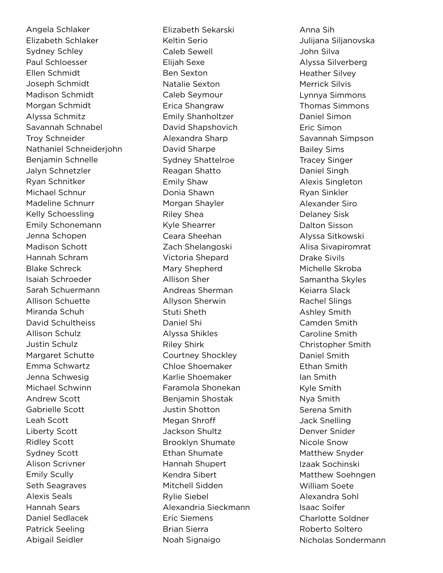Angela Schlaker Elizabeth Schlaker Sydney Schley Paul Schloesser Ellen Schmidt Joseph Schmidt Madison Schmidt Morgan Schmidt Alyssa Schmitz Savannah Schnabel Troy Schneider Nathaniel Schneiderjohn Benjamin Schnelle Jalyn Schnetzler Ryan Schnitker Michael Schnur Madeline Schnurr Kelly Schoessling Emily Schonemann Jenna Schopen Madison Schott Hannah Schram Blake Schreck Isaiah Schroeder Sarah Schuermann Allison Schuette Miranda Schuh David Schultheiss Allison Schulz Justin Schulz Margaret Schutte Emma Schwartz Jenna Schwesig Michael Schwinn Andrew Scott Gabrielle Scott Leah Scott Liberty Scott Ridley Scott Sydney Scott Alison Scrivner Emily Scully Seth Seagraves Alexis Seals Hannah Sears Daniel Sedlacek Patrick Seeling Abigail Seidler

Elizabeth Sekarski Keltin Serio Caleb Sewell Elijah Sexe Ben Sexton Natalie Sexton Caleb Seymour Erica Shangraw Emily Shanholtzer David Shapshovich Alexandra Sharp David Sharpe Sydney Shattelroe Reagan Shatto Emily Shaw Donia Shawn Morgan Shayler Riley Shea Kyle Shearrer Ceara Sheehan Zach Shelangoski Victoria Shepard Mary Shepherd Allison Sher Andreas Sherman Allyson Sherwin Stuti Sheth Daniel Shi Alyssa Shikles Riley Shirk Courtney Shockley Chloe Shoemaker Karlie Shoemaker Faramola Shonekan Benjamin Shostak Justin Shotton Megan Shroff Jackson Shultz Brooklyn Shumate Ethan Shumate Hannah Shupert Kendra Sibert Mitchell Sidden Rylie Siebel Alexandria Sieckmann Eric Siemens Brian Sierra Noah Signaigo

Anna Sih Julijana Siljanovska John Silva Alyssa Silverberg Heather Silvey Merrick Silvis Lynnya Simmons Thomas Simmons Daniel Simon Eric Simon Savannah Simpson Bailey Sims Tracey Singer Daniel Singh Alexis Singleton Ryan Sinkler Alexander Siro Delaney Sisk Dalton Sisson Alyssa Sitkowski Alisa Sivapiromrat Drake Sivils Michelle Skroba Samantha Skyles Keiarra Slack Rachel Slings Ashley Smith Camden Smith Caroline Smith Christopher Smith Daniel Smith Ethan Smith Ian Smith Kyle Smith Nya Smith Serena Smith Jack Snelling Denver Snider Nicole Snow Matthew Snyder Izaak Sochinski Matthew Soehngen William Soete Alexandra Sohl Isaac Soifer Charlotte Soldner Roberto Soltero Nicholas Sondermann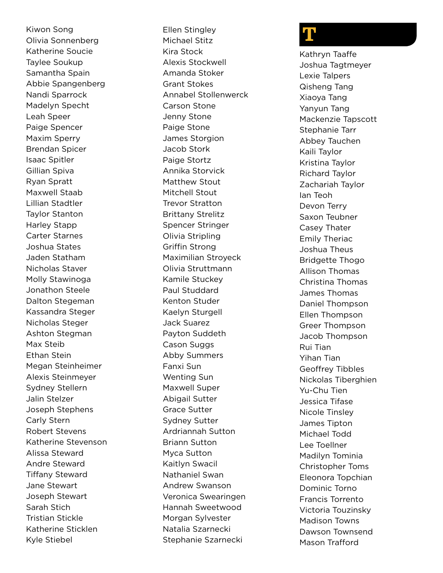Kiwon Song Olivia Sonnenberg Katherine Soucie Taylee Soukup Samantha Spain Abbie Spangenberg Nandi Sparrock Madelyn Specht Leah Speer Paige Spencer Maxim Sperry Brendan Spicer Isaac Spitler Gillian Spiva Ryan Spratt Maxwell Staab Lillian Stadtler Taylor Stanton Harley Stapp Carter Starnes Joshua States Jaden Statham Nicholas Staver Molly Stawinoga Jonathon Steele Dalton Stegeman Kassandra Steger Nicholas Steger Ashton Stegman Max Steib Ethan Stein Megan Steinheimer Alexis Steinmeyer Sydney Stellern Jalin Stelzer Joseph Stephens Carly Stern Robert Stevens Katherine Stevenson Alissa Steward Andre Steward Tiffany Steward Jane Stewart Joseph Stewart Sarah Stich Tristian Stickle Katherine Sticklen Kyle Stiebel

Ellen Stingley Michael Stitz Kira Stock Alexis Stockwell Amanda Stoker Grant Stokes Annabel Stollenwerck Carson Stone Jenny Stone Paige Stone James Storgion Jacob Stork Paige Stortz Annika Storvick Matthew Stout Mitchell Stout Trevor Stratton Brittany Strelitz Spencer Stringer Olivia Stripling Griffin Strong Maximilian Stroyeck Olivia Struttmann Kamile Stuckey Paul Studdard Kenton Studer Kaelyn Sturgell Jack Suarez Payton Suddeth Cason Suggs Abby Summers Fanxi Sun Wenting Sun Maxwell Super Abigail Sutter Grace Sutter Sydney Sutter Ardriannah Sutton Briann Sutton Myca Sutton Kaitlyn Swacil Nathaniel Swan Andrew Swanson Veronica Swearingen Hannah Sweetwood Morgan Sylvester Natalia Szarnecki Stephanie Szarnecki

#### T

Kathryn Taaffe Joshua Tagtmeyer Lexie Talpers Qisheng Tang Xiaoya Tang Yanyun Tang Mackenzie Tapscott Stephanie Tarr Abbey Tauchen Kaili Taylor Kristina Taylor Richard Taylor Zachariah Taylor Ian Teoh Devon Terry Saxon Teubner Casey Thater Emily Theriac Joshua Theus Bridgette Thogo Allison Thomas Christina Thomas James Thomas Daniel Thompson Ellen Thompson Greer Thompson Jacob Thompson Rui Tian Yihan Tian Geoffrey Tibbles Nickolas Tiberghien Yu-Chu Tien Jessica Tifase Nicole Tinsley James Tipton Michael Todd Lee Toellner Madilyn Tominia Christopher Toms Eleonora Topchian Dominic Torno Francis Torrento Victoria Touzinsky Madison Towns Dawson Townsend Mason Trafford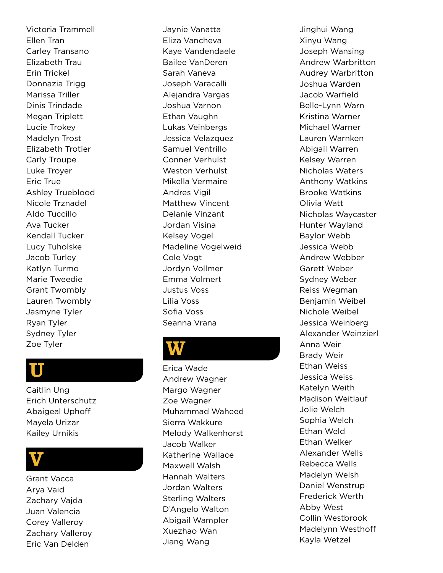Victoria Trammell Ellen Tran Carley Transano Elizabeth Trau Erin Trickel Donnazia Trigg Marissa Triller Dinis Trindade Megan Triplett Lucie Trokey Madelyn Trost Elizabeth Trotier Carly Troupe Luke Troyer Eric True Ashley Trueblood Nicole Trznadel Aldo Tuccillo Ava Tucker Kendall Tucker Lucy Tuholske Jacob Turley Katlyn Turmo Marie Tweedie Grant Twombly Lauren Twombly Jasmyne Tyler Ryan Tyler Sydney Tyler Zoe Tyler

#### U

Caitlin Ung Erich Unterschutz Abaigeal Uphoff Mayela Urizar Kailey Urnikis

#### V

Grant Vacca Arya Vaid Zachary Vajda Juan Valencia Corey Valleroy Zachary Valleroy Eric Van Delden

Jaynie Vanatta Eliza Vancheva Kaye Vandendaele Bailee VanDeren Sarah Vaneva Joseph Varacalli Alejandra Vargas Joshua Varnon Ethan Vaughn Lukas Veinbergs Jessica Velazquez Samuel Ventrillo Conner Verhulst Weston Verhulst Mikella Vermaire Andres Vigil Matthew Vincent Delanie Vinzant Jordan Visina Kelsey Vogel Madeline Vogelweid Cole Vogt Jordyn Vollmer Emma Volmert Justus Voss Lilia Voss Sofia Voss Seanna Vrana

#### **W**

Erica Wade Andrew Wagner Margo Wagner Zoe Wagner Muhammad Waheed Sierra Wakkure Melody Walkenhorst Jacob Walker Katherine Wallace Maxwell Walsh Hannah Walters Jordan Walters Sterling Walters D'Angelo Walton Abigail Wampler Xuezhao Wan Jiang Wang

Jinghui Wang Xinyu Wang Joseph Wansing Andrew Warbritton Audrey Warbritton Joshua Warden Jacob Warfield Belle-Lynn Warn Kristina Warner Michael Warner Lauren Warnken Abigail Warren Kelsey Warren Nicholas Waters Anthony Watkins Brooke Watkins Olivia Watt Nicholas Waycaster Hunter Wayland Baylor Webb Jessica Webb Andrew Webber Garett Weber Sydney Weber Reiss Wegman Benjamin Weibel Nichole Weibel Jessica Weinberg Alexander Weinzierl Anna Weir Brady Weir Ethan Weiss Jessica Weiss Katelyn Weith Madison Weitlauf Jolie Welch Sophia Welch Ethan Weld Ethan Welker Alexander Wells Rebecca Wells Madelyn Welsh Daniel Wenstrup Frederick Werth Abby West Collin Westbrook Madelynn Westhoff Kayla Wetzel